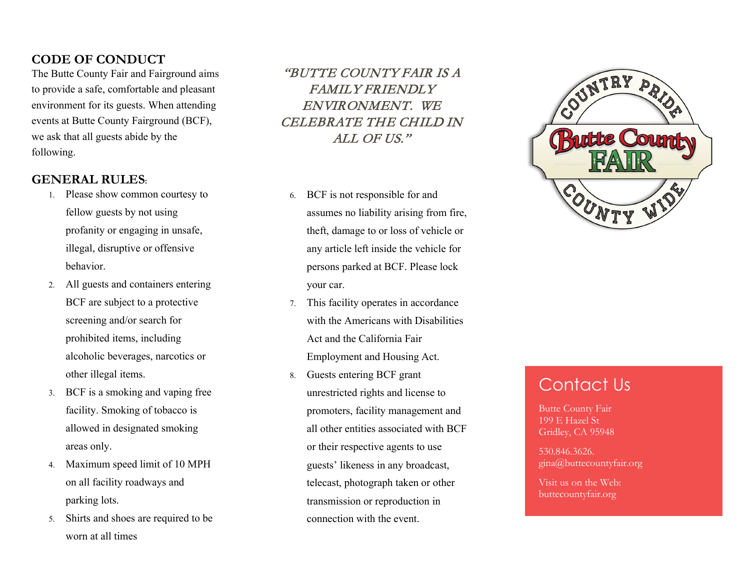### **CODE OF CONDUCT**

The Butte County Fair and Fairground aims to provide a safe, comfortable and pleasant environment for its guests. When attending events at Butte County Fairground (BCF), we ask that all guests abide by the following.

### **GENERAL RULES:**

- 1. Please show common courtesy to fellow guests by not using profanity or engaging in unsafe, illegal, disruptive or offensive behavior.
- 2. All guests and containers entering BCF are subject to a protective screening and/or search for prohibited items, including alcoholic beverages, narcotics or other illegal items.
- 3. BCF is a smoking and vaping free facility. Smoking of tobacco is allowed in designated smoking areas only.
- 4. Maximum speed limit of 10 MPH on all facility roadways and parking lots.
- 5. Shirts and shoes are required to be worn at all times

"BUTTE COUNTY FAIR IS A FAMILY FRIENDLY ENVIRONMENT. WE CELEBRATE THE CHILD IN ALL OF US."

- 6. BCF is not responsible for and assumes no liability arising from fire, theft, damage to or loss of vehicle or any article left inside the vehicle for persons parked at BCF. Please lock your car.
- 7. This facility operates in accordance with the Americans with Disabilities Act and the California Fair Employment and Housing Act.
- 8. Guests entering BCF grant unrestricted rights and license to promoters, facility management and all other entities associated with BCF or their respective agents to use guests' likeness in any broadcast, telecast, photograph taken or other transmission or reproduction in connection with the event.



## Contact Us

Butte County Fair 199 E Hazel St Gridley, CA 95948

530.846.3626. gina@buttecountyfair.org

Visit us on the Web: buttecountyfair.org